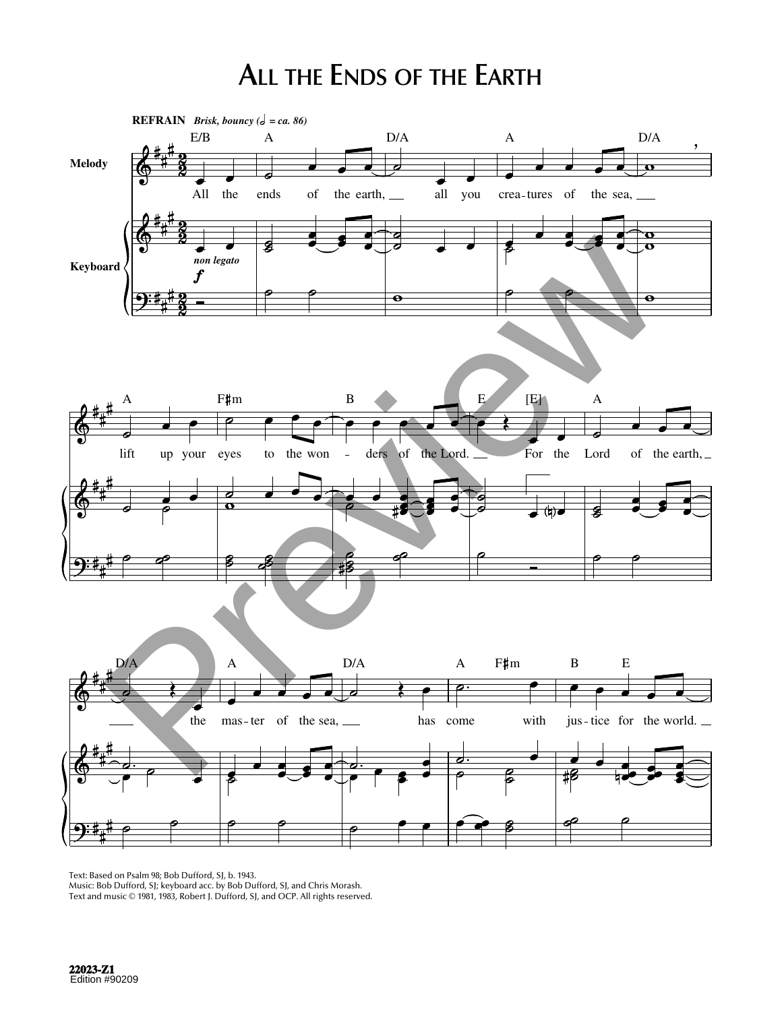## **ALL THE ENDS OF THE EARTH**



Text: Based on Psalm 98; Bob Dufford, SJ, b. 1943.

Music: Bob Dufford, SJ; keyboard acc. by Bob Dufford, SJ, and Chris Morash. Text and music © 1981, 1983, Robert J. Dufford, SJ, and OCP. All rights reserved.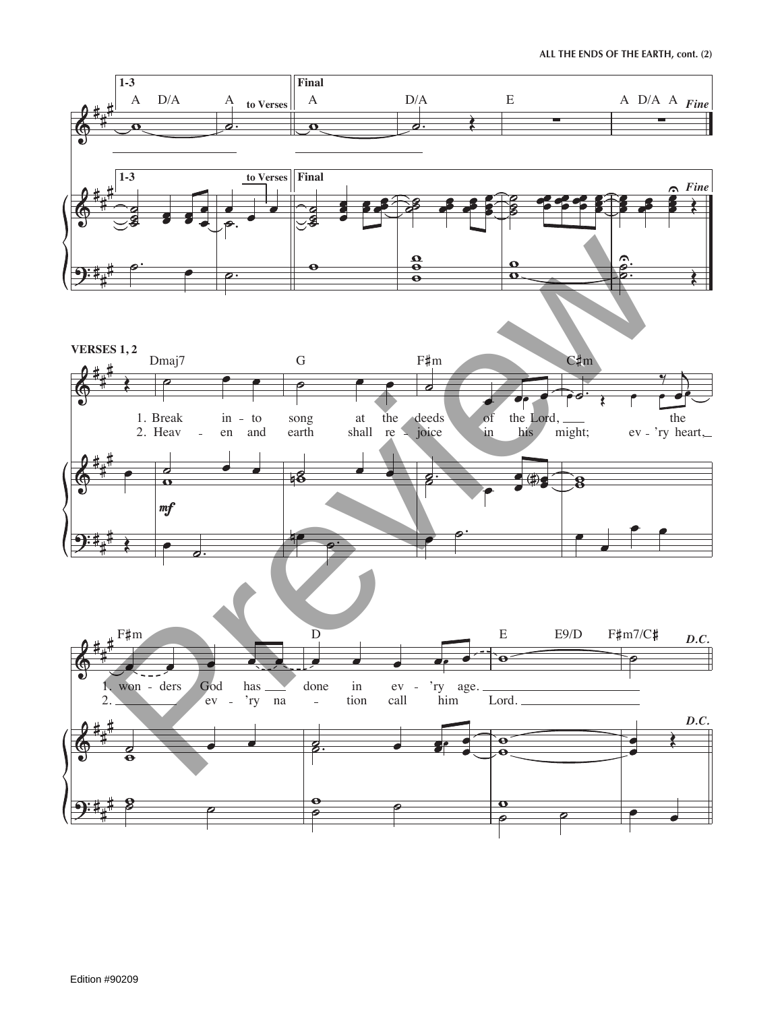